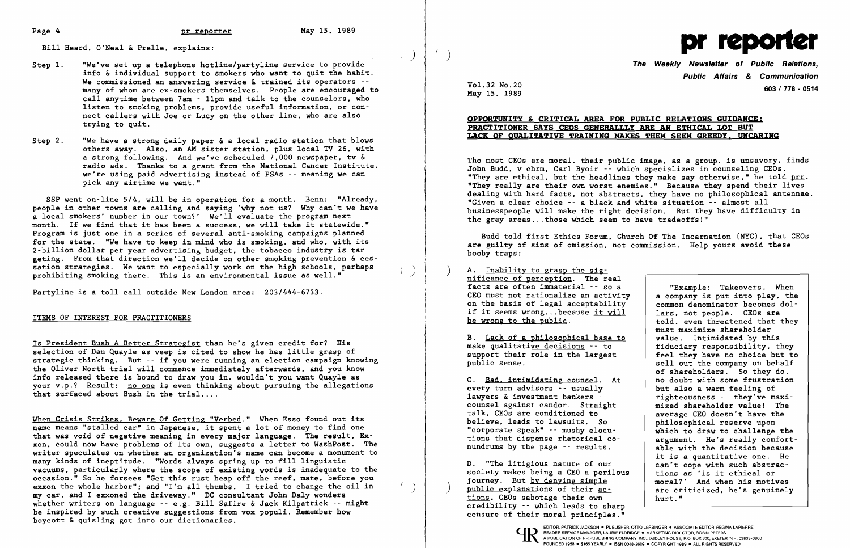)

 $\vec{r}$ 

Bill Heard, O'Neal & Prelle, explains:

SSP went on-line 5/4, will be in operation for a month. Benn: "Already, people in other towns are calling and saying 'why not us? Why can't we have a local smokers' number in our town?' We'll evaluate the program next month. If we find that it has been a success, we will take it statewide." Program is just one in a series of several anti-smoking campaigns planned for the state. "We have to keep in mind who is smoking, and who, with its 2-bi11ion dollar per year advertising budget, the tobacco industry is targeting. From that direction we'll decide on other smoking prevention & cessation strategies. We want to especially work on the high schools, perhaps  $\begin{pmatrix} p \ p \end{pmatrix}$ 

- Step 1. "We've set up a telephone hot1ine/party1ine service to provide info & individual support to smokers who want to quit the habit. We commissioned an answering service & trained its operators -many of whom are ex-smokers themselves. People are encouraged to call anytime between 7am - 11pm and talk to the counselors, who listen to smoking problems, provide useful information, or connect callers with Joe or Lucy on the other line, who are also trying to quit.
- Step 2. "We have a strong daily paper  $\&$  a local radio station that blows others away. Also, an AM sister station, plus local TV 26, with a strong following. And we've scheduled 7,000 newspaper, tv & radio ads. Thanks to a grant from the National Cancer Institute, we're using paid advertising instead of PSAs -- meaning we can pick any airtime we want."

Is President Bush A Better Strategist than he's given credit for? His selection of Dan Quayle as veep is cited to show he has little grasp of strategic thinking. But -- if you were running an election campaign knowing the Oliver North trial will commence immediately afterwards, and you know info released there is bound to draw you in, wouldn't you want Quayle as your v.p.? Result: no one is even thinking about pursuing the allegations that surfaced about Bush in the trial....

When Crisis Strikes, Beware Of Getting "Verbed." When Esso found out its name means "stalled car" in Japanese, it spent a lot of money to find one that was void of negative meaning in every major language. The result, Exxon, could now have problems of its own, suggests a letter to WashPost. The writer speculates on whether an organization's name can become a monument to many kinds of ineptitude. "Words always spring up to fill linguistic vacuums, particularly where the scope of existing words is inadequate to the occasion." So he forsees "Get this rust heap off the reef, mate, before you exxon the whole harbor": and "I'm all thumbs. I tried to change the oil in my car, and I exxoned the driveway." DC consultant John Daly wonders whether writers on language -- e.g. Bill Safire & Jack Kilpatrick -- might be inspired by such creative suggestions from vox populi. Remember how boycott & quisling got into our dictionaries.

Party1ine is a toll call outside New London area: 203/444-6733.

## ITEMS OF INTEREST FOR PRACTITIONERS

Tho most CEOs are moral, their public image, as a group, is unsavory, finds John Budd, v chrm, Carl Byoir -- which specializes in counseling CEOs. "They are ethical, but the headlines they make say otherwise," he told  $prr$ . "They really are their own worst enemies." Because they spend their lives dealing with hard facts, not abstracts, they have no philosophical antennae. "Given a clear choice -- a black and white situation -- almost all J businesspeople will make the right decision. But they have difficulty in the gray areas ... those which seem to have tradeoffs!" ŗ.

D. "The litigious nature of our<br>society makes being a CEO a perilous tions as 'is it ethical or society makes being a CEO a perilous tions as 'is it ethical or journey. But by denying simple  $\left\{\n\begin{array}{ccc}\n & \text{times} & \text{times} \\
\text{for all?} & \text{And when his motives}\n\end{array}\n\right.$ public explanations of their ac are criticized, he's genuinely tions. CEOs sabotage their own hurt." credibility -- which leads to sharp censure of their moral principles."



**The Weekly Newsletter of Public Relations, Public Affairs & Communication**  Vo1.32 No. 20 **603/778 \_ 0514** 

> told, even threatened that they must maximize shareholder<br>value. Intimidated by this sell out the company on behalf of shareholders. So they do,<br>no doubt with some frustration righteousness -- they've maxi-<br>mized shareholder value! The it is a quantitative one. He can't cope with such abstrac-

May 15, 1989

# **OPPORTUNITY & CRITICAL AREA FOR PUBLIC RELATIONS GUIDANCE: PRACTITIONER SAYS CEQS GENERALLLY ARE AN ETHICAL LOT BUT LACK QF QUALITATIVE TRAINING MAKES THEM SEEM GREEDY, UNCARING**

Budd told first Ethics Forum, Church Of The Incarnation (NYC), that CEOs are guilty of sins of omission, not commission. Help yours avoid these booby traps:

A. Inability to grasp the significance of perception. The real facts are often immaterial -- so a<br>CEO must not rationalize an activity | a company is put into play, the CEO must not rationalize an activity  $\vert$  a company is put into play, the on the basis of legal acceptability  $\vert$  common denominator becomes dolon the basis of legal acceptability common denominator becomes diffusive to the common denominator becomes do that if it seems wrong...because it will if it seems wrong... because it will be wrong to the public.

B. Lack of a philosophical base to  $\begin{array}{|l|}$  value. Intimidated by this make qualitative decisions -- to  $\end{array}$  fiduciary responsibility, they make qualitative decisions -- to fiduciary responsibility, they support their role in the largest feel they have no choice but to support their role in the largest<br>public sense.

C. <u>Bad, intimidating counsel</u>. At <br>
every turn advisors -- usually but also a warm feeling of every turn advisors  $-$  usually lawyers & investment bankers  $$ counsel against candor. Straight mized shareholder value! The talk, CEOs are conditioned to average CEO doesn't have the talk, CEOs are conditioned to average CEO doesn't have the believe, leads to lawsuits. So and philosophical reserve upon believe, leads to lawsuits. So  $\begin{array}{c|c} \text{philosophical reserve upon} \\ \text{for that no change the} \end{array}$ "corporate speak" -- mushy elocu-<br>tions that dispense rhetorical co-<br>argument. He's really comforttions that dispense rhetorical co-<br>nundrums by the page  $-$  results. <br>able with the decision because nundrums by the page  $-$  results.